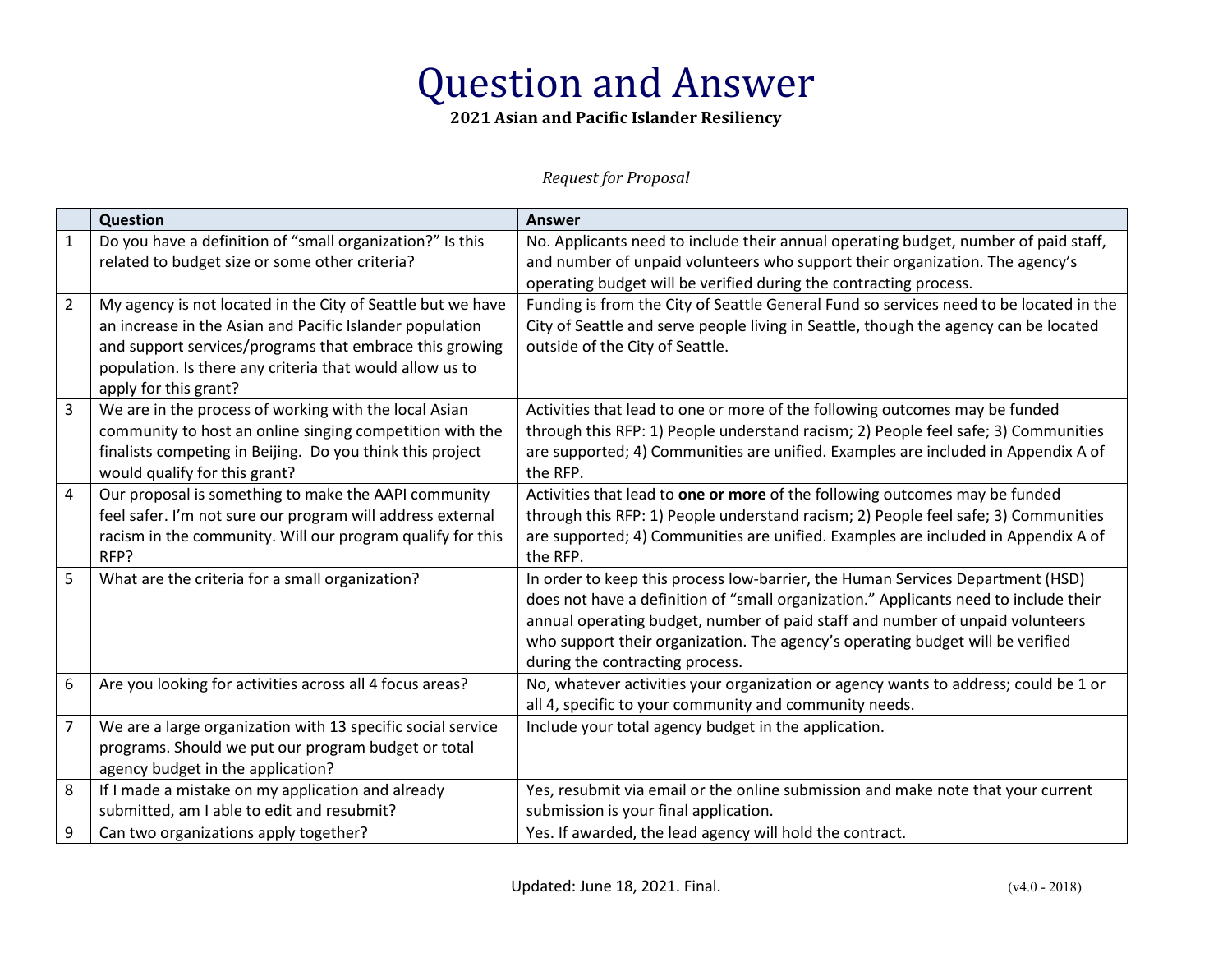## Question and Answer

**2021 Asian and Pacific Islander Resiliency** 

## *Request for Proposal*

|                | Question                                                                                                                                                                                                                                                                | <b>Answer</b>                                                                                                                                                                                                                                                                                                                                                                |
|----------------|-------------------------------------------------------------------------------------------------------------------------------------------------------------------------------------------------------------------------------------------------------------------------|------------------------------------------------------------------------------------------------------------------------------------------------------------------------------------------------------------------------------------------------------------------------------------------------------------------------------------------------------------------------------|
| $\mathbf{1}$   | Do you have a definition of "small organization?" Is this<br>related to budget size or some other criteria?                                                                                                                                                             | No. Applicants need to include their annual operating budget, number of paid staff,<br>and number of unpaid volunteers who support their organization. The agency's<br>operating budget will be verified during the contracting process.                                                                                                                                     |
| $\overline{2}$ | My agency is not located in the City of Seattle but we have<br>an increase in the Asian and Pacific Islander population<br>and support services/programs that embrace this growing<br>population. Is there any criteria that would allow us to<br>apply for this grant? | Funding is from the City of Seattle General Fund so services need to be located in the<br>City of Seattle and serve people living in Seattle, though the agency can be located<br>outside of the City of Seattle.                                                                                                                                                            |
| $\overline{3}$ | We are in the process of working with the local Asian<br>community to host an online singing competition with the<br>finalists competing in Beijing. Do you think this project<br>would qualify for this grant?                                                         | Activities that lead to one or more of the following outcomes may be funded<br>through this RFP: 1) People understand racism; 2) People feel safe; 3) Communities<br>are supported; 4) Communities are unified. Examples are included in Appendix A of<br>the RFP.                                                                                                           |
| 4              | Our proposal is something to make the AAPI community<br>feel safer. I'm not sure our program will address external<br>racism in the community. Will our program qualify for this<br>RFP?                                                                                | Activities that lead to one or more of the following outcomes may be funded<br>through this RFP: 1) People understand racism; 2) People feel safe; 3) Communities<br>are supported; 4) Communities are unified. Examples are included in Appendix A of<br>the RFP.                                                                                                           |
| 5              | What are the criteria for a small organization?                                                                                                                                                                                                                         | In order to keep this process low-barrier, the Human Services Department (HSD)<br>does not have a definition of "small organization." Applicants need to include their<br>annual operating budget, number of paid staff and number of unpaid volunteers<br>who support their organization. The agency's operating budget will be verified<br>during the contracting process. |
| 6              | Are you looking for activities across all 4 focus areas?                                                                                                                                                                                                                | No, whatever activities your organization or agency wants to address; could be 1 or<br>all 4, specific to your community and community needs.                                                                                                                                                                                                                                |
| $\overline{7}$ | We are a large organization with 13 specific social service<br>programs. Should we put our program budget or total<br>agency budget in the application?                                                                                                                 | Include your total agency budget in the application.                                                                                                                                                                                                                                                                                                                         |
| 8              | If I made a mistake on my application and already<br>submitted, am I able to edit and resubmit?                                                                                                                                                                         | Yes, resubmit via email or the online submission and make note that your current<br>submission is your final application.                                                                                                                                                                                                                                                    |
| 9              | Can two organizations apply together?                                                                                                                                                                                                                                   | Yes. If awarded, the lead agency will hold the contract.                                                                                                                                                                                                                                                                                                                     |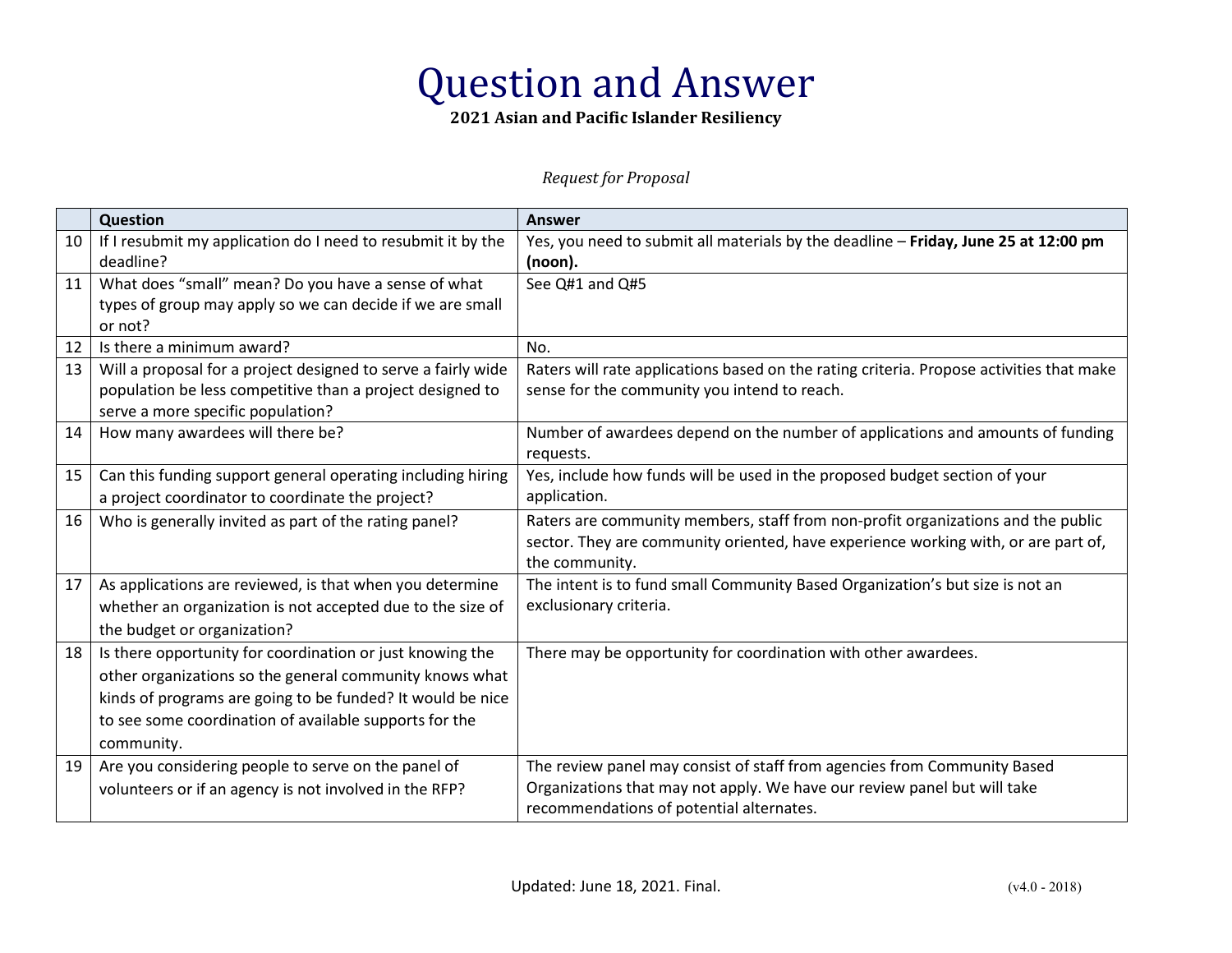## Question and Answer

**2021 Asian and Pacific Islander Resiliency** 

*Request for Proposal* 

|    | Question                                                      | <b>Answer</b>                                                                            |
|----|---------------------------------------------------------------|------------------------------------------------------------------------------------------|
| 10 | If I resubmit my application do I need to resubmit it by the  | Yes, you need to submit all materials by the deadline - Friday, June 25 at 12:00 pm      |
|    | deadline?                                                     | (noon).                                                                                  |
| 11 | What does "small" mean? Do you have a sense of what           | See Q#1 and Q#5                                                                          |
|    | types of group may apply so we can decide if we are small     |                                                                                          |
|    | or not?                                                       |                                                                                          |
| 12 | Is there a minimum award?                                     | No.                                                                                      |
| 13 | Will a proposal for a project designed to serve a fairly wide | Raters will rate applications based on the rating criteria. Propose activities that make |
|    | population be less competitive than a project designed to     | sense for the community you intend to reach.                                             |
|    | serve a more specific population?                             |                                                                                          |
| 14 | How many awardees will there be?                              | Number of awardees depend on the number of applications and amounts of funding           |
|    |                                                               | requests.                                                                                |
| 15 | Can this funding support general operating including hiring   | Yes, include how funds will be used in the proposed budget section of your               |
|    | a project coordinator to coordinate the project?              | application.                                                                             |
| 16 | Who is generally invited as part of the rating panel?         | Raters are community members, staff from non-profit organizations and the public         |
|    |                                                               | sector. They are community oriented, have experience working with, or are part of,       |
|    |                                                               | the community.                                                                           |
| 17 | As applications are reviewed, is that when you determine      | The intent is to fund small Community Based Organization's but size is not an            |
|    | whether an organization is not accepted due to the size of    | exclusionary criteria.                                                                   |
|    | the budget or organization?                                   |                                                                                          |
| 18 | Is there opportunity for coordination or just knowing the     | There may be opportunity for coordination with other awardees.                           |
|    | other organizations so the general community knows what       |                                                                                          |
|    | kinds of programs are going to be funded? It would be nice    |                                                                                          |
|    | to see some coordination of available supports for the        |                                                                                          |
|    | community.                                                    |                                                                                          |
| 19 | Are you considering people to serve on the panel of           | The review panel may consist of staff from agencies from Community Based                 |
|    | volunteers or if an agency is not involved in the RFP?        | Organizations that may not apply. We have our review panel but will take                 |
|    |                                                               | recommendations of potential alternates.                                                 |